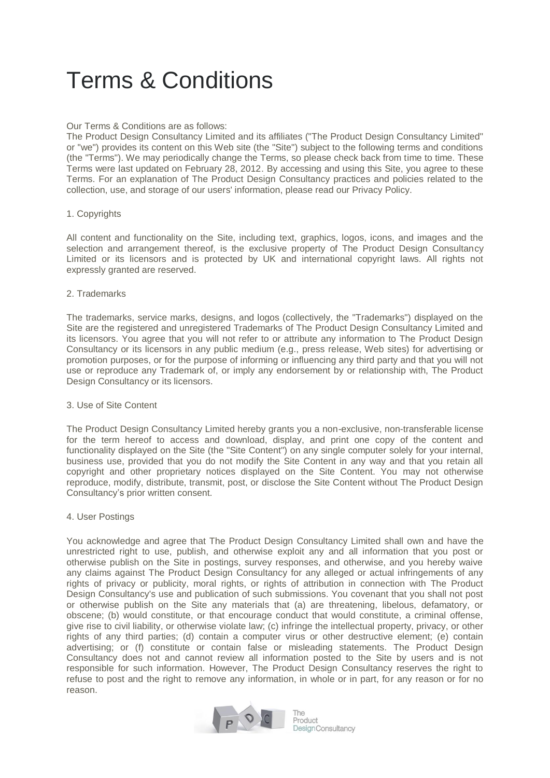# Terms & Conditions

## Our Terms & Conditions are as follows:

The Product Design Consultancy Limited and its affiliates ("The Product Design Consultancy Limited" or "we") provides its content on this Web site (the "Site") subject to the following terms and conditions (the "Terms"). We may periodically change the Terms, so please check back from time to time. These Terms were last updated on February 28, 2012. By accessing and using this Site, you agree to these Terms. For an explanation of The Product Design Consultancy practices and policies related to the collection, use, and storage of our users' information, please read our Privacy Policy.

## 1. Copyrights

All content and functionality on the Site, including text, graphics, logos, icons, and images and the selection and arrangement thereof, is the exclusive property of The Product Design Consultancy Limited or its licensors and is protected by UK and international copyright laws. All rights not expressly granted are reserved.

#### 2. Trademarks

The trademarks, service marks, designs, and logos (collectively, the "Trademarks") displayed on the Site are the registered and unregistered Trademarks of The Product Design Consultancy Limited and its licensors. You agree that you will not refer to or attribute any information to The Product Design Consultancy or its licensors in any public medium (e.g., press release, Web sites) for advertising or promotion purposes, or for the purpose of informing or influencing any third party and that you will not use or reproduce any Trademark of, or imply any endorsement by or relationship with, The Product Design Consultancy or its licensors.

#### 3. Use of Site Content

The Product Design Consultancy Limited hereby grants you a non-exclusive, non-transferable license for the term hereof to access and download, display, and print one copy of the content and functionality displayed on the Site (the "Site Content") on any single computer solely for your internal, business use, provided that you do not modify the Site Content in any way and that you retain all copyright and other proprietary notices displayed on the Site Content. You may not otherwise reproduce, modify, distribute, transmit, post, or disclose the Site Content without The Product Design Consultancy's prior written consent.

#### 4. User Postings

You acknowledge and agree that The Product Design Consultancy Limited shall own and have the unrestricted right to use, publish, and otherwise exploit any and all information that you post or otherwise publish on the Site in postings, survey responses, and otherwise, and you hereby waive any claims against The Product Design Consultancy for any alleged or actual infringements of any rights of privacy or publicity, moral rights, or rights of attribution in connection with The Product Design Consultancy's use and publication of such submissions. You covenant that you shall not post or otherwise publish on the Site any materials that (a) are threatening, libelous, defamatory, or obscene; (b) would constitute, or that encourage conduct that would constitute, a criminal offense, give rise to civil liability, or otherwise violate law; (c) infringe the intellectual property, privacy, or other rights of any third parties; (d) contain a computer virus or other destructive element; (e) contain advertising; or (f) constitute or contain false or misleading statements. The Product Design Consultancy does not and cannot review all information posted to the Site by users and is not responsible for such information. However, The Product Design Consultancy reserves the right to refuse to post and the right to remove any information, in whole or in part, for any reason or for no reason.



Product Design Consultancy